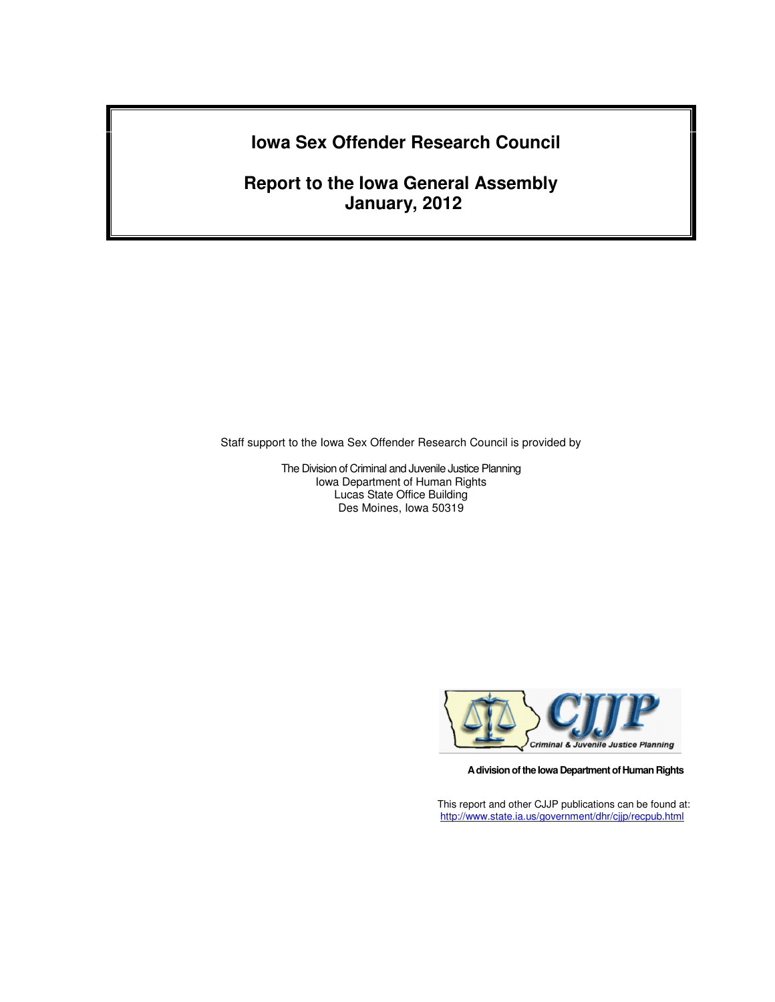# **Iowa Sex Offender Research Council**

**Report to the Iowa General Assembly January, 2012** 

Staff support to the Iowa Sex Offender Research Council is provided by

The Division of Criminal and Juvenile Justice Planning Iowa Department of Human Rights Lucas State Office Building Des Moines, Iowa 50319



**A division of the Iowa Department of Human Rights** 

This report and other CJJP publications can be found at: http://www.state.ia.us/government/dhr/cjjp/recpub.html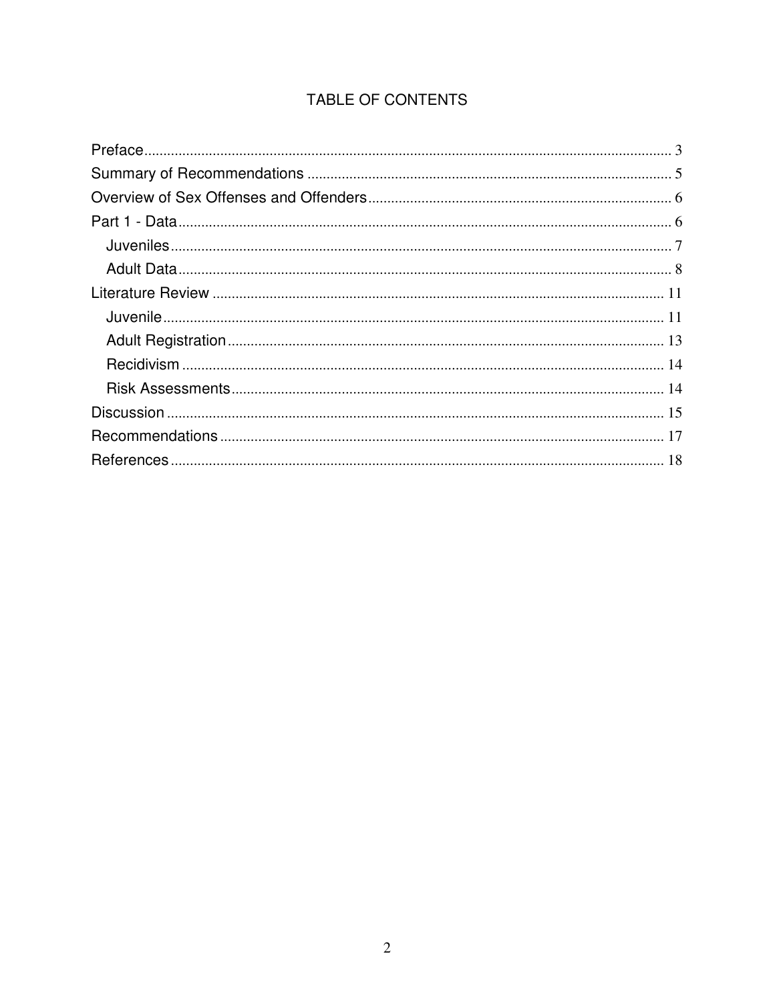# TABLE OF CONTENTS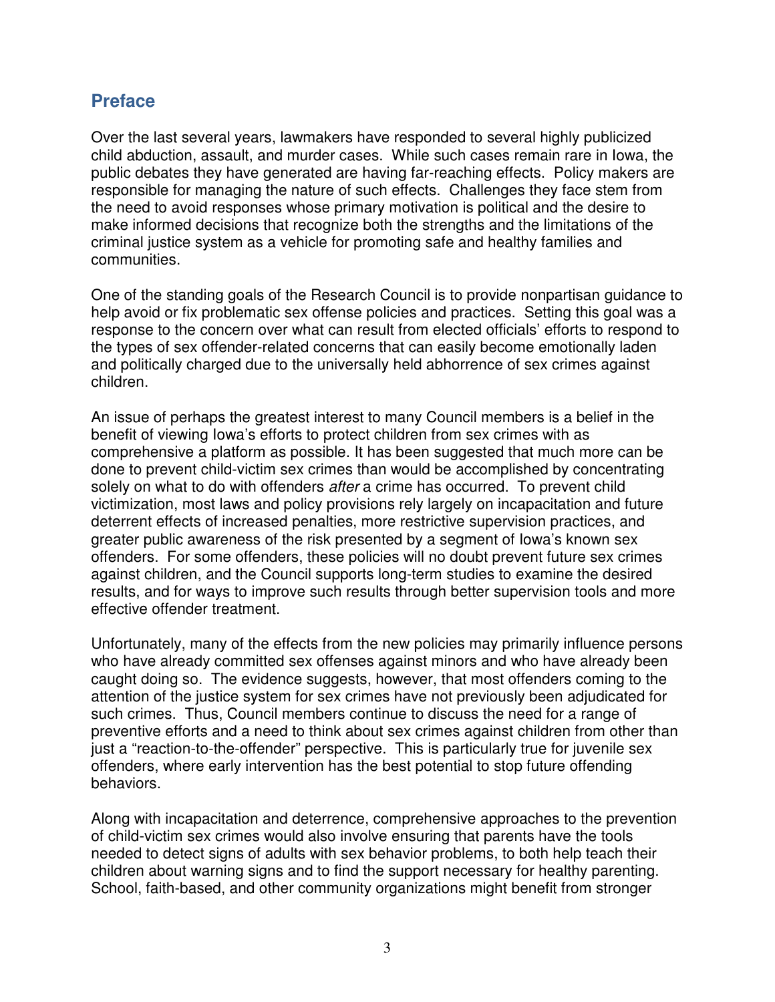## **Preface**

Over the last several years, lawmakers have responded to several highly publicized child abduction, assault, and murder cases. While such cases remain rare in Iowa, the public debates they have generated are having far-reaching effects. Policy makers are responsible for managing the nature of such effects. Challenges they face stem from the need to avoid responses whose primary motivation is political and the desire to make informed decisions that recognize both the strengths and the limitations of the criminal justice system as a vehicle for promoting safe and healthy families and communities.

One of the standing goals of the Research Council is to provide nonpartisan guidance to help avoid or fix problematic sex offense policies and practices. Setting this goal was a response to the concern over what can result from elected officials' efforts to respond to the types of sex offender-related concerns that can easily become emotionally laden and politically charged due to the universally held abhorrence of sex crimes against children.

An issue of perhaps the greatest interest to many Council members is a belief in the benefit of viewing Iowa's efforts to protect children from sex crimes with as comprehensive a platform as possible. It has been suggested that much more can be done to prevent child-victim sex crimes than would be accomplished by concentrating solely on what to do with offenders *after* a crime has occurred. To prevent child victimization, most laws and policy provisions rely largely on incapacitation and future deterrent effects of increased penalties, more restrictive supervision practices, and greater public awareness of the risk presented by a segment of Iowa's known sex offenders. For some offenders, these policies will no doubt prevent future sex crimes against children, and the Council supports long-term studies to examine the desired results, and for ways to improve such results through better supervision tools and more effective offender treatment.

Unfortunately, many of the effects from the new policies may primarily influence persons who have already committed sex offenses against minors and who have already been caught doing so. The evidence suggests, however, that most offenders coming to the attention of the justice system for sex crimes have not previously been adjudicated for such crimes. Thus, Council members continue to discuss the need for a range of preventive efforts and a need to think about sex crimes against children from other than just a "reaction-to-the-offender" perspective. This is particularly true for juvenile sex offenders, where early intervention has the best potential to stop future offending behaviors.

Along with incapacitation and deterrence, comprehensive approaches to the prevention of child-victim sex crimes would also involve ensuring that parents have the tools needed to detect signs of adults with sex behavior problems, to both help teach their children about warning signs and to find the support necessary for healthy parenting. School, faith-based, and other community organizations might benefit from stronger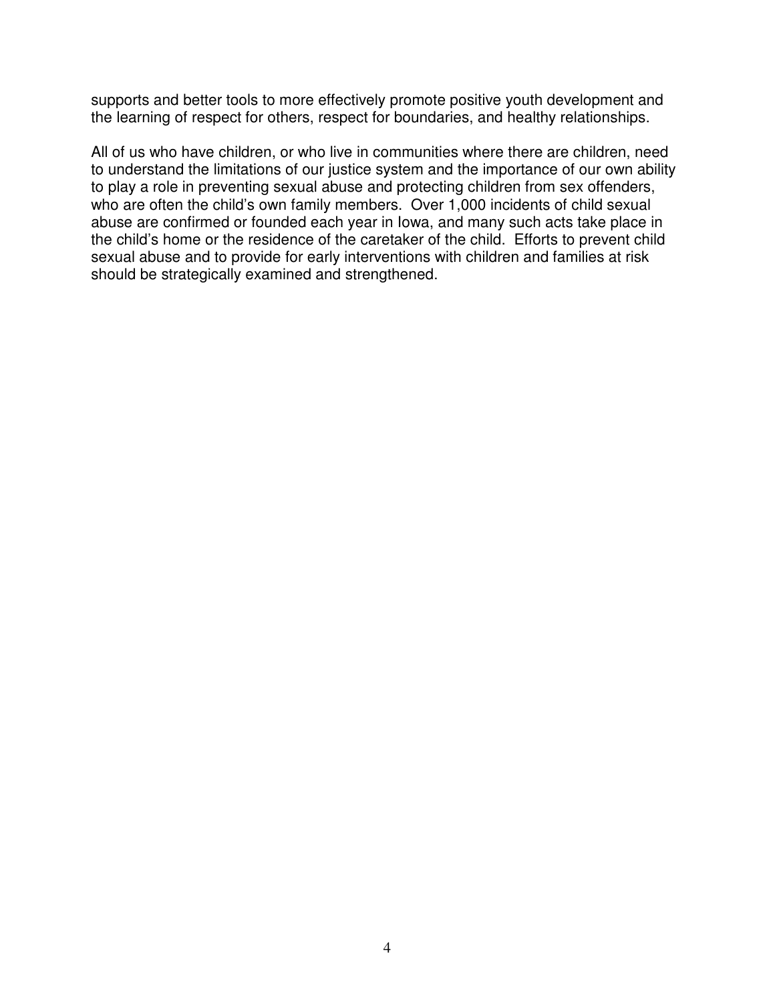supports and better tools to more effectively promote positive youth development and the learning of respect for others, respect for boundaries, and healthy relationships.

All of us who have children, or who live in communities where there are children, need to understand the limitations of our justice system and the importance of our own ability to play a role in preventing sexual abuse and protecting children from sex offenders, who are often the child's own family members. Over 1,000 incidents of child sexual abuse are confirmed or founded each year in Iowa, and many such acts take place in the child's home or the residence of the caretaker of the child. Efforts to prevent child sexual abuse and to provide for early interventions with children and families at risk should be strategically examined and strengthened.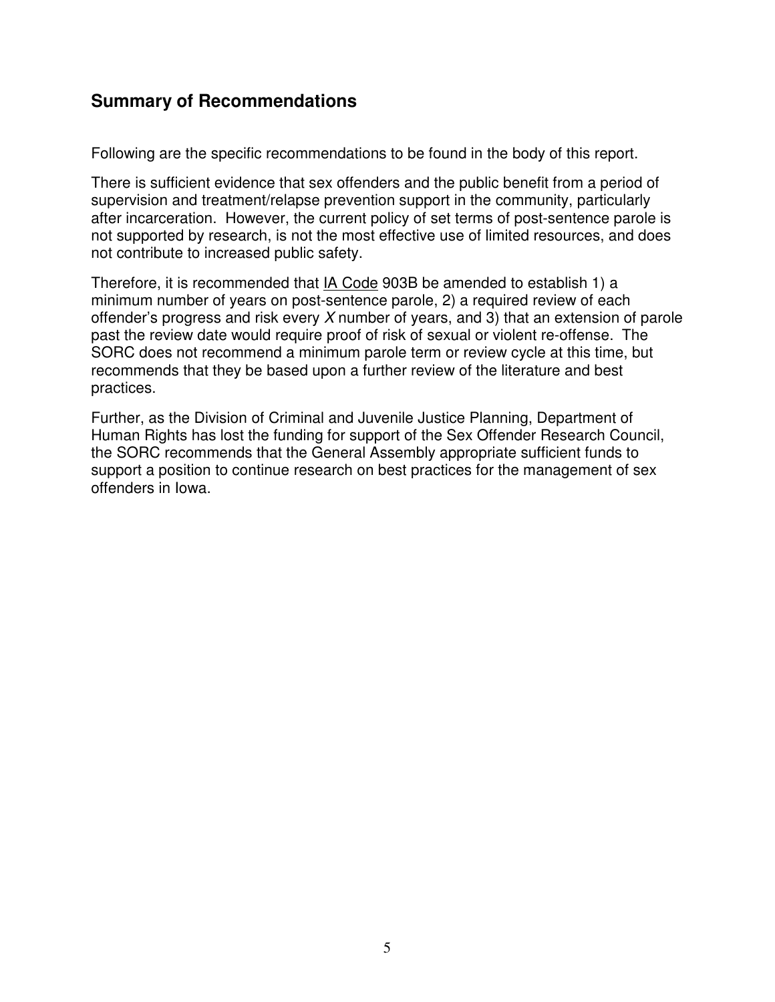# **Summary of Recommendations**

Following are the specific recommendations to be found in the body of this report.

There is sufficient evidence that sex offenders and the public benefit from a period of supervision and treatment/relapse prevention support in the community, particularly after incarceration. However, the current policy of set terms of post-sentence parole is not supported by research, is not the most effective use of limited resources, and does not contribute to increased public safety.

Therefore, it is recommended that IA Code 903B be amended to establish 1) a minimum number of years on post-sentence parole, 2) a required review of each offender's progress and risk every  $X$  number of years, and 3) that an extension of parole past the review date would require proof of risk of sexual or violent re-offense. The SORC does not recommend a minimum parole term or review cycle at this time, but recommends that they be based upon a further review of the literature and best practices.

Further, as the Division of Criminal and Juvenile Justice Planning, Department of Human Rights has lost the funding for support of the Sex Offender Research Council, the SORC recommends that the General Assembly appropriate sufficient funds to support a position to continue research on best practices for the management of sex offenders in Iowa.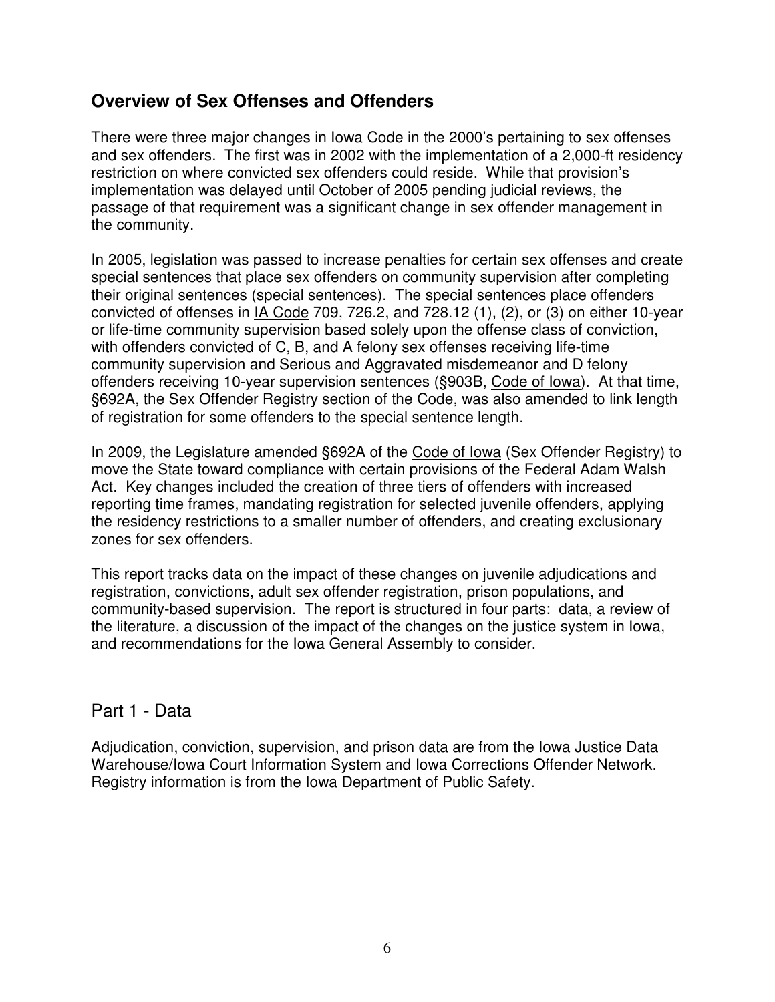## **Overview of Sex Offenses and Offenders**

There were three major changes in Iowa Code in the 2000's pertaining to sex offenses and sex offenders. The first was in 2002 with the implementation of a 2,000-ft residency restriction on where convicted sex offenders could reside. While that provision's implementation was delayed until October of 2005 pending judicial reviews, the passage of that requirement was a significant change in sex offender management in the community.

In 2005, legislation was passed to increase penalties for certain sex offenses and create special sentences that place sex offenders on community supervision after completing their original sentences (special sentences). The special sentences place offenders convicted of offenses in IA Code 709, 726.2, and 728.12 (1), (2), or (3) on either 10-year or life-time community supervision based solely upon the offense class of conviction, with offenders convicted of C, B, and A felony sex offenses receiving life-time community supervision and Serious and Aggravated misdemeanor and D felony offenders receiving 10-year supervision sentences (§903B, Code of Iowa). At that time, §692A, the Sex Offender Registry section of the Code, was also amended to link length of registration for some offenders to the special sentence length.

In 2009, the Legislature amended §692A of the Code of Iowa (Sex Offender Registry) to move the State toward compliance with certain provisions of the Federal Adam Walsh Act. Key changes included the creation of three tiers of offenders with increased reporting time frames, mandating registration for selected juvenile offenders, applying the residency restrictions to a smaller number of offenders, and creating exclusionary zones for sex offenders.

This report tracks data on the impact of these changes on juvenile adjudications and registration, convictions, adult sex offender registration, prison populations, and community-based supervision. The report is structured in four parts: data, a review of the literature, a discussion of the impact of the changes on the justice system in Iowa, and recommendations for the Iowa General Assembly to consider.

### Part 1 - Data

Adjudication, conviction, supervision, and prison data are from the Iowa Justice Data Warehouse/Iowa Court Information System and Iowa Corrections Offender Network. Registry information is from the Iowa Department of Public Safety.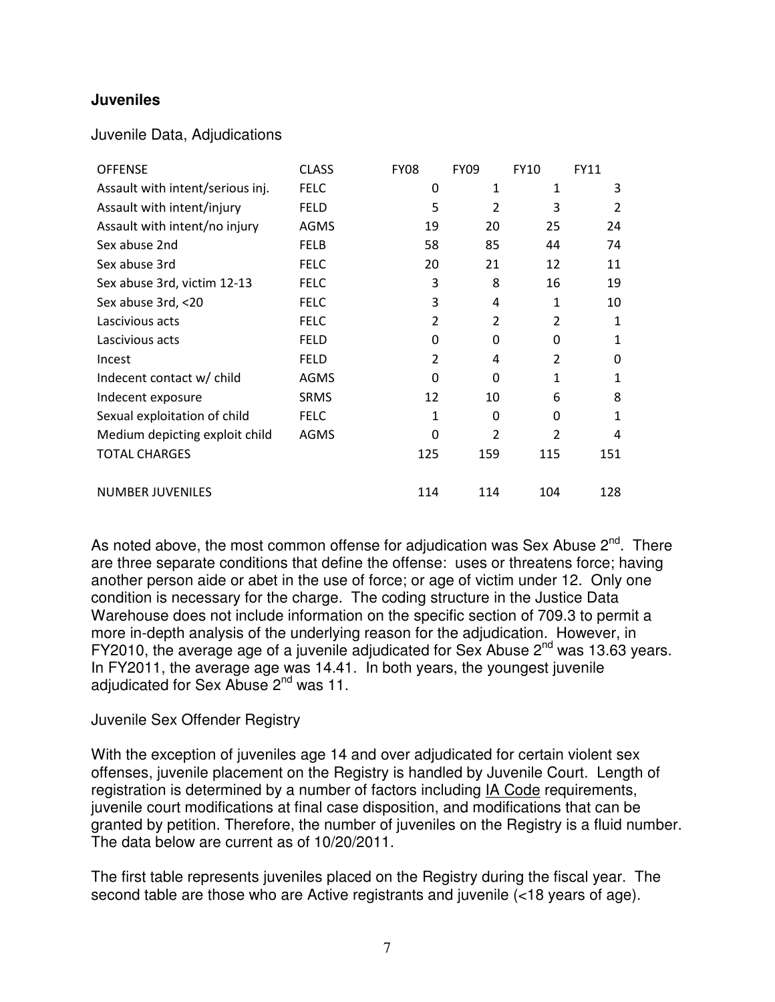#### **Juveniles**

#### Juvenile Data, Adjudications

| <b>OFFENSE</b>                   | <b>CLASS</b> | <b>FY08</b>    | <b>FY09</b>    | <b>FY10</b>    | <b>FY11</b>    |
|----------------------------------|--------------|----------------|----------------|----------------|----------------|
| Assault with intent/serious inj. | <b>FELC</b>  | 0              | 1              | 1              | 3              |
| Assault with intent/injury       | <b>FELD</b>  | 5              | 2              | 3              | $\overline{2}$ |
| Assault with intent/no injury    | <b>AGMS</b>  | 19             | 20             | 25             | 24             |
| Sex abuse 2nd                    | <b>FELB</b>  | 58             | 85             | 44             | 74             |
| Sex abuse 3rd                    | <b>FELC</b>  | 20             | 21             | 12             | 11             |
| Sex abuse 3rd, victim 12-13      | <b>FELC</b>  | 3              | 8              | 16             | 19             |
| Sex abuse 3rd, <20               | <b>FELC</b>  | 3              | 4              | 1              | 10             |
| Lascivious acts                  | <b>FELC</b>  | $\overline{2}$ | $\overline{2}$ | $\overline{2}$ | 1              |
| Lascivious acts                  | <b>FELD</b>  | 0              | 0              | $\Omega$       | 1              |
| Incest                           | <b>FELD</b>  | 2              | 4              | $\overline{2}$ | 0              |
| Indecent contact w/ child        | <b>AGMS</b>  | $\Omega$       | 0              | 1              | 1              |
| Indecent exposure                | <b>SRMS</b>  | 12             | 10             | 6              | 8              |
| Sexual exploitation of child     | <b>FELC</b>  | 1              | 0              | $\Omega$       | 1              |
| Medium depicting exploit child   | <b>AGMS</b>  | $\Omega$       | 2              | $\overline{2}$ | 4              |
| <b>TOTAL CHARGES</b>             |              | 125            | 159            | 115            | 151            |
| <b>NUMBER JUVENILES</b>          |              | 114            | 114            | 104            | 128            |

As noted above, the most common offense for adjudication was Sex Abuse  $2^{nd}$ . There are three separate conditions that define the offense: uses or threatens force; having another person aide or abet in the use of force; or age of victim under 12. Only one condition is necessary for the charge. The coding structure in the Justice Data Warehouse does not include information on the specific section of 709.3 to permit a more in-depth analysis of the underlying reason for the adjudication. However, in FY2010, the average age of a juvenile adjudicated for Sex Abuse 2<sup>nd</sup> was 13.63 years. In FY2011, the average age was 14.41. In both years, the youngest juvenile adjudicated for Sex Abuse 2<sup>nd</sup> was 11.

#### Juvenile Sex Offender Registry

With the exception of juveniles age 14 and over adjudicated for certain violent sex offenses, juvenile placement on the Registry is handled by Juvenile Court. Length of registration is determined by a number of factors including IA Code requirements, juvenile court modifications at final case disposition, and modifications that can be granted by petition. Therefore, the number of juveniles on the Registry is a fluid number. The data below are current as of 10/20/2011.

The first table represents juveniles placed on the Registry during the fiscal year. The second table are those who are Active registrants and juvenile (<18 years of age).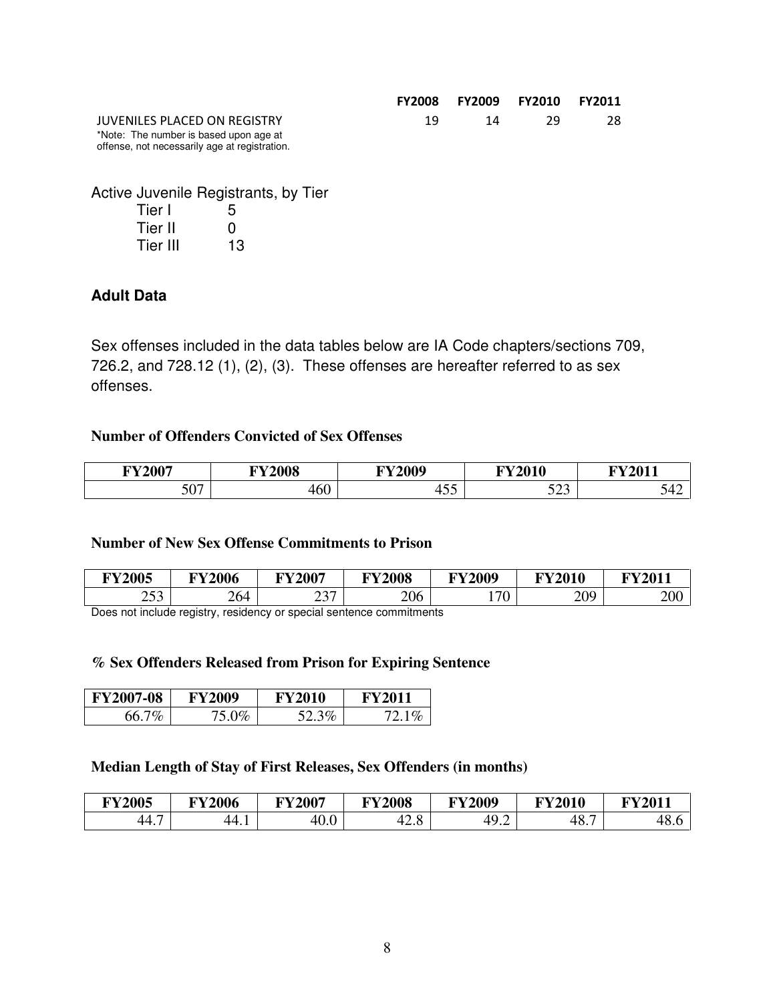|                                                                                         |     | FY2008 FY2009 FY2010 FY2011 |      |    |
|-----------------------------------------------------------------------------------------|-----|-----------------------------|------|----|
| JUVENILES PLACED ON REGISTRY                                                            | 19. | 14                          | - 79 | 28 |
| *Note: The number is based upon age at<br>offense, not necessarily age at registration. |     |                             |      |    |

Active Juvenile Registrants, by Tier

| Tier I   | 5  |
|----------|----|
| Tier II  | O  |
| Tier III | 13 |

#### **Adult Data**

Sex offenses included in the data tables below are IA Code chapters/sections 709, 726.2, and 728.12 (1), (2), (3). These offenses are hereafter referred to as sex offenses.

#### **Number of Offenders Convicted of Sex Offenses**

| <b>FY2007</b>            | <b>EXZAAA0</b><br>vvo |                          | <b>FY2010</b> | <b>DYZAA44</b> |
|--------------------------|-----------------------|--------------------------|---------------|----------------|
| $\overline{\phantom{a}}$ | $\sim$                | $\overline{\phantom{0}}$ | $\sim$ $\sim$ | ۱⊿             |
| JV 1                     | 40U                   | τIJ                      | ---           | ັ່             |

#### **Number of New Sex Offense Commitments to Prison**

| <b>FY2005</b> | <b>FY2006</b> | <b>FY2007</b>      | <b>FY2008</b> | <b>FY2009</b> | <b>FY2010</b> | <b>FY2011</b> |
|---------------|---------------|--------------------|---------------|---------------|---------------|---------------|
| 252<br>ر ب    | 264           | $\cap \neg$<br>، ب | 206           | 170<br>v      | 209           | 200           |
| $\sim$        |               | .                  |               |               |               |               |

Does not include registry, residency or special sentence commitments

#### **% Sex Offenders Released from Prison for Expiring Sentence**

| <b>FY2007-08</b> | <b>FY2009</b> | <b>FY2010</b> | <b>FY2011</b> |  |
|------------------|---------------|---------------|---------------|--|
| 66.7%            | 75 በ‰         | 52.3%         | $72.1\%$      |  |

#### **Median Length of Stay of First Releases, Sex Offenders (in months)**

| <b>FY2005</b>                     | <b>FY2006</b> | <b>FY2007</b> | <b>FY2008</b>              | <b>FY2009</b>       | <b>FY2010</b> | $\nabla$ $\mathbf{V}$ 2011 |
|-----------------------------------|---------------|---------------|----------------------------|---------------------|---------------|----------------------------|
| $\overline{\phantom{0}}$<br>-44., | 44.1          | 40.0          | $\sim$<br>$\Omega$<br>r∠.O | 40c<br>49<br>гノ • ∠ | -<br>48.      | 48.1                       |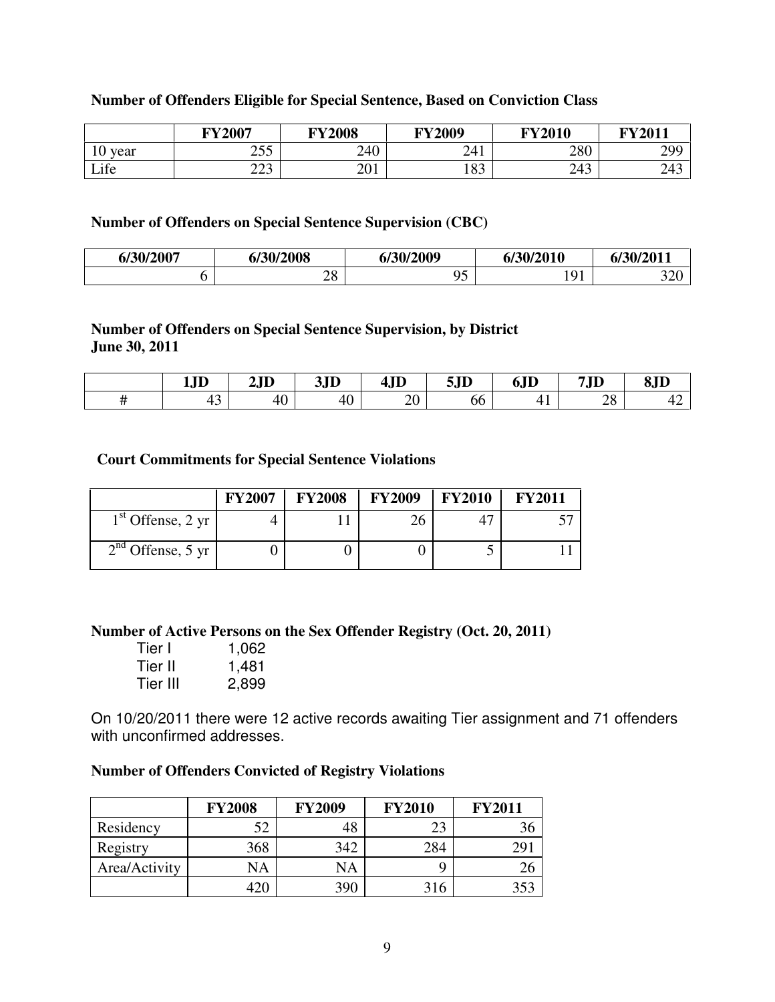#### **Number of Offenders Eligible for Special Sentence, Based on Conviction Class**

|            | <b>FY2007</b>   | <b>FY2008</b> | <b>FY2009</b>         | <b>FY2010</b> | <b>FY2011</b> |
|------------|-----------------|---------------|-----------------------|---------------|---------------|
| year<br>10 | つぐぐ<br>ر ب      | 240           | 241                   | 280           | 299           |
| Life       | $\cap$<br>رے کے | ጎ ሰ1<br>∠∪⊥   | $\overline{O}$<br>109 | 212<br>24 J   | 243           |

#### **Number of Offenders on Special Sentence Supervision (CBC)**

| 6/30/2007 | 6/30/2008        | 6/30/2009 | 6/30/2010                  | 6/30/2011       |
|-----------|------------------|-----------|----------------------------|-----------------|
|           | nο<br>$\angle$ 0 |           | $\sim$ $\sim$ $\sim$<br>., | $\Omega$<br>∪∠ر |

#### **Number of Offenders on Special Sentence Supervision, by District June 30, 2011**

| <b>TD</b><br>IJIJ | 2JD                | 3JD | 4JD            | 5JD | 6JD | $7\,\mathrm{ID}$<br>7 J D | 8JD                   |
|-------------------|--------------------|-----|----------------|-----|-----|---------------------------|-----------------------|
| $\sim$<br>τ       | $\sqrt{2}$<br>$+0$ | 40  | $\Omega$<br>ZU | oo  | . . | ററ<br>$\angle 0$          | $\sqrt{2}$<br>4<br>−∠ |

#### **Court Commitments for Special Sentence Violations**

|                                  | <b>FY2007</b> | <b>FY2008</b> | <b>FY2009</b> | <b>FY2010</b> | <b>FY2011</b> |
|----------------------------------|---------------|---------------|---------------|---------------|---------------|
| $1st$ Offense, 2 yr $\mathsf{I}$ |               |               | 26            |               |               |
| $2nd$ Offense, 5 yr $\vert$      |               |               |               |               |               |

**Number of Active Persons on the Sex Offender Registry (Oct. 20, 2011)** 

| Tier I   | 1,062 |
|----------|-------|
| Tier II  | 1,481 |
| Tier III | 2,899 |

On 10/20/2011 there were 12 active records awaiting Tier assignment and 71 offenders with unconfirmed addresses.

#### **Number of Offenders Convicted of Registry Violations**

|               | <b>FY2008</b> | <b>FY2009</b> | <b>FY2010</b> | <b>FY2011</b>   |
|---------------|---------------|---------------|---------------|-----------------|
| Residency     | 52            | 48            | 23            | 36              |
| Registry      | 368           | 342           | 284           | 29 <sup>°</sup> |
| Area/Activity | NA            | <b>NA</b>     |               | 26              |
|               | 420           | 390           | 316           | 353             |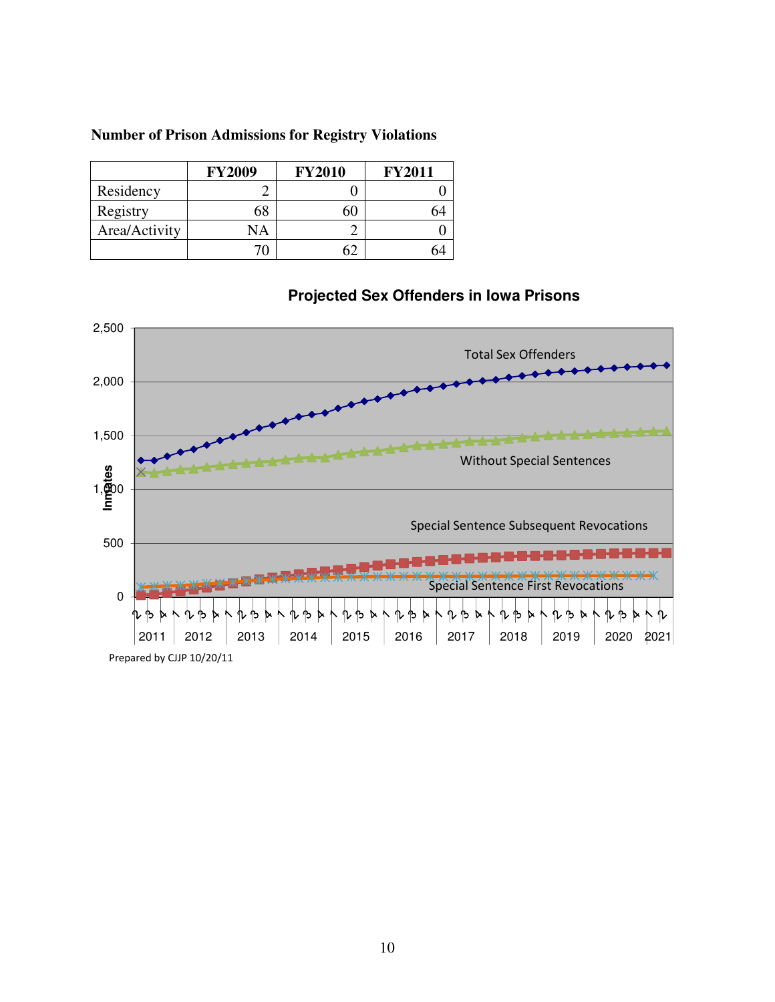|  | <b>Number of Prison Admissions for Registry Violations</b> |  |  |
|--|------------------------------------------------------------|--|--|
|  |                                                            |  |  |

|               | <b>FY2009</b> | <b>FY2010</b> | <b>FY2011</b> |
|---------------|---------------|---------------|---------------|
| Residency     |               |               |               |
| Registry      |               |               |               |
| Area/Activity | NA            |               |               |
|               |               |               |               |



# **Projected Sex Offenders in Iowa Prisons**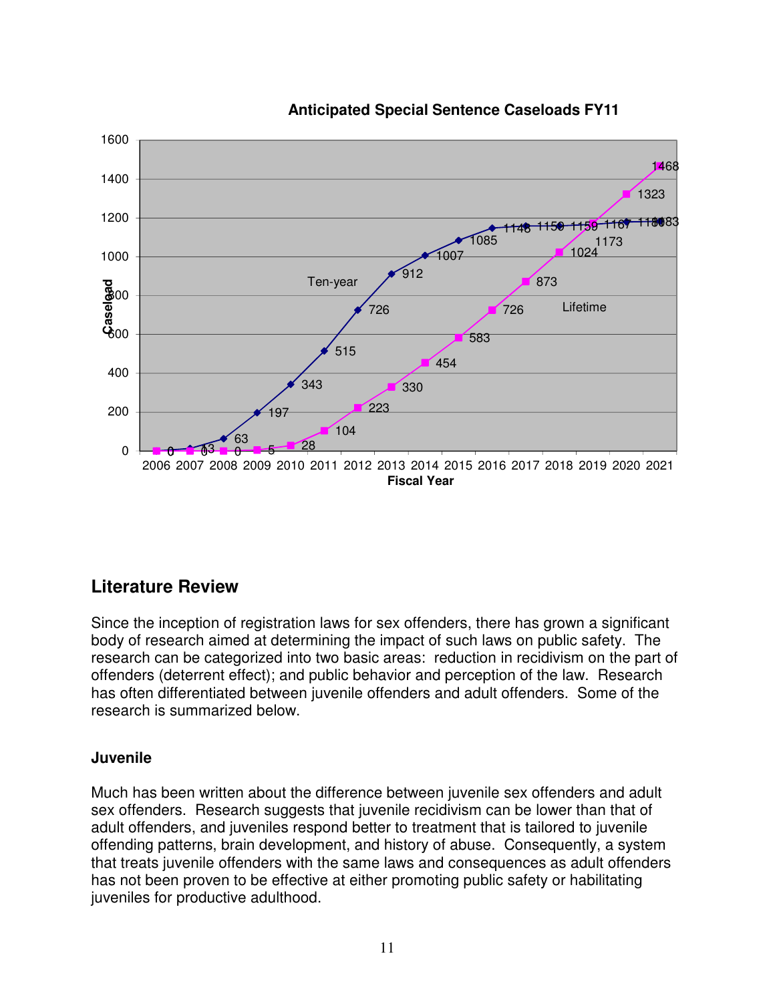

### **Anticipated Special Sentence Caseloads FY11**

# **Literature Review**

Since the inception of registration laws for sex offenders, there has grown a significant body of research aimed at determining the impact of such laws on public safety. The research can be categorized into two basic areas: reduction in recidivism on the part of offenders (deterrent effect); and public behavior and perception of the law. Research has often differentiated between juvenile offenders and adult offenders. Some of the research is summarized below.

#### **Juvenile**

Much has been written about the difference between juvenile sex offenders and adult sex offenders. Research suggests that juvenile recidivism can be lower than that of adult offenders, and juveniles respond better to treatment that is tailored to juvenile offending patterns, brain development, and history of abuse. Consequently, a system that treats juvenile offenders with the same laws and consequences as adult offenders has not been proven to be effective at either promoting public safety or habilitating juveniles for productive adulthood.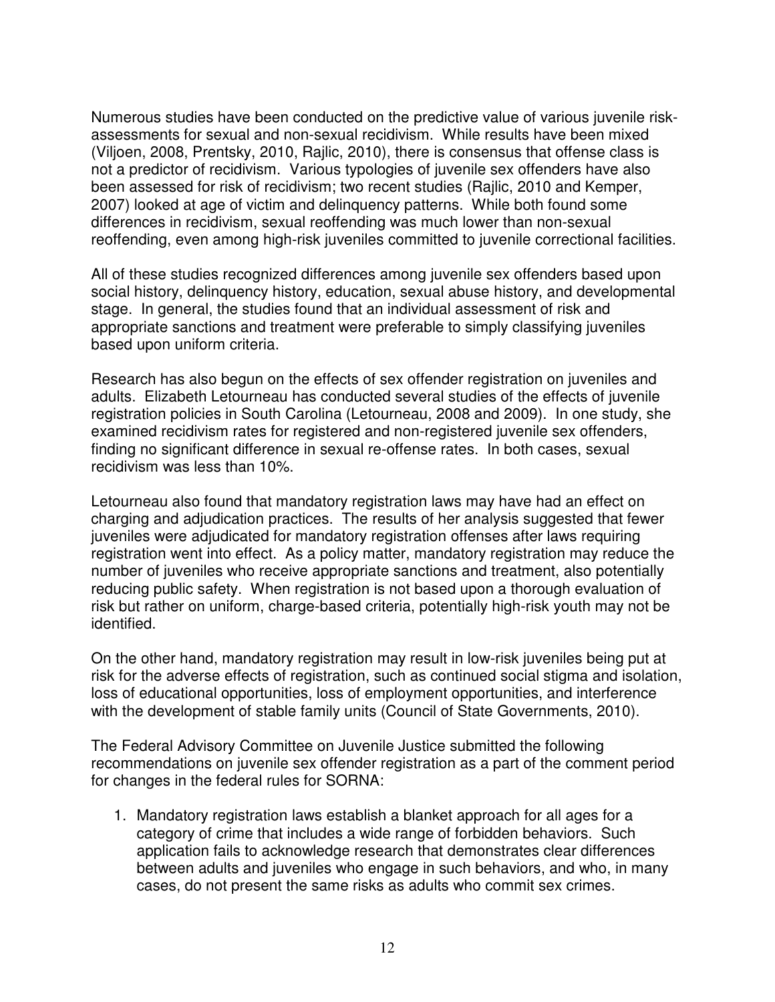Numerous studies have been conducted on the predictive value of various juvenile riskassessments for sexual and non-sexual recidivism. While results have been mixed (Viljoen, 2008, Prentsky, 2010, Rajlic, 2010), there is consensus that offense class is not a predictor of recidivism. Various typologies of juvenile sex offenders have also been assessed for risk of recidivism; two recent studies (Rajlic, 2010 and Kemper, 2007) looked at age of victim and delinquency patterns. While both found some differences in recidivism, sexual reoffending was much lower than non-sexual reoffending, even among high-risk juveniles committed to juvenile correctional facilities.

All of these studies recognized differences among juvenile sex offenders based upon social history, delinquency history, education, sexual abuse history, and developmental stage. In general, the studies found that an individual assessment of risk and appropriate sanctions and treatment were preferable to simply classifying juveniles based upon uniform criteria.

Research has also begun on the effects of sex offender registration on juveniles and adults. Elizabeth Letourneau has conducted several studies of the effects of juvenile registration policies in South Carolina (Letourneau, 2008 and 2009). In one study, she examined recidivism rates for registered and non-registered juvenile sex offenders, finding no significant difference in sexual re-offense rates. In both cases, sexual recidivism was less than 10%.

Letourneau also found that mandatory registration laws may have had an effect on charging and adjudication practices. The results of her analysis suggested that fewer juveniles were adjudicated for mandatory registration offenses after laws requiring registration went into effect. As a policy matter, mandatory registration may reduce the number of juveniles who receive appropriate sanctions and treatment, also potentially reducing public safety. When registration is not based upon a thorough evaluation of risk but rather on uniform, charge-based criteria, potentially high-risk youth may not be identified.

On the other hand, mandatory registration may result in low-risk juveniles being put at risk for the adverse effects of registration, such as continued social stigma and isolation, loss of educational opportunities, loss of employment opportunities, and interference with the development of stable family units (Council of State Governments, 2010).

The Federal Advisory Committee on Juvenile Justice submitted the following recommendations on juvenile sex offender registration as a part of the comment period for changes in the federal rules for SORNA:

1. Mandatory registration laws establish a blanket approach for all ages for a category of crime that includes a wide range of forbidden behaviors. Such application fails to acknowledge research that demonstrates clear differences between adults and juveniles who engage in such behaviors, and who, in many cases, do not present the same risks as adults who commit sex crimes.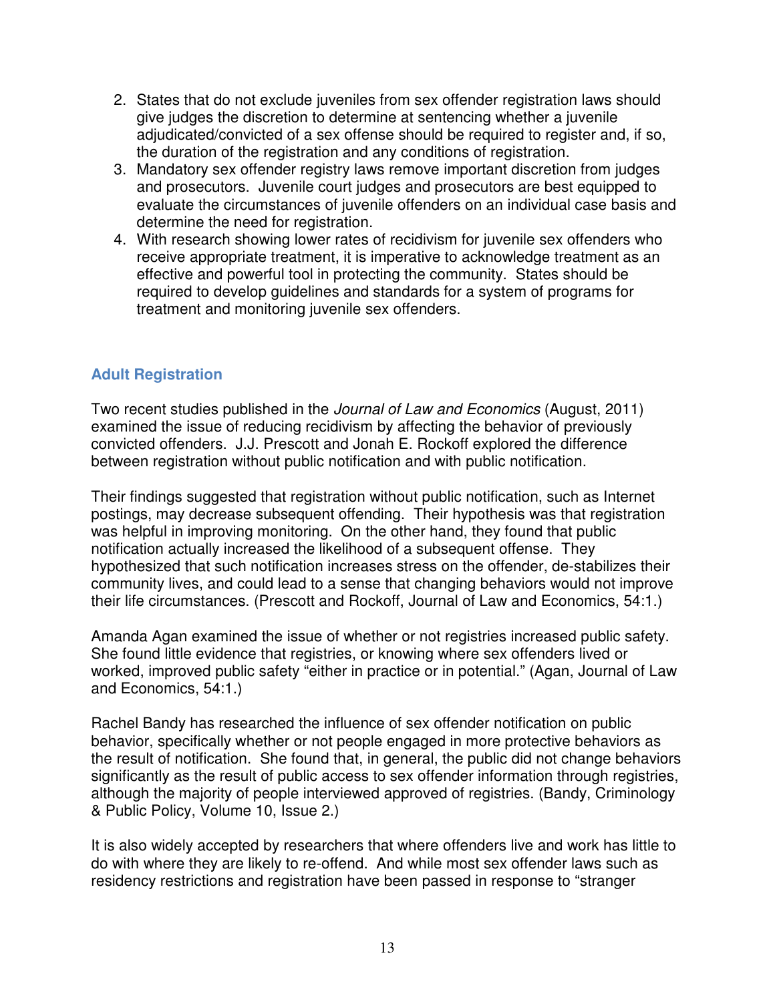- 2. States that do not exclude juveniles from sex offender registration laws should give judges the discretion to determine at sentencing whether a juvenile adjudicated/convicted of a sex offense should be required to register and, if so, the duration of the registration and any conditions of registration.
- 3. Mandatory sex offender registry laws remove important discretion from judges and prosecutors. Juvenile court judges and prosecutors are best equipped to evaluate the circumstances of juvenile offenders on an individual case basis and determine the need for registration.
- 4. With research showing lower rates of recidivism for juvenile sex offenders who receive appropriate treatment, it is imperative to acknowledge treatment as an effective and powerful tool in protecting the community. States should be required to develop guidelines and standards for a system of programs for treatment and monitoring juvenile sex offenders.

### **Adult Registration**

Two recent studies published in the Journal of Law and Economics (August, 2011) examined the issue of reducing recidivism by affecting the behavior of previously convicted offenders. J.J. Prescott and Jonah E. Rockoff explored the difference between registration without public notification and with public notification.

Their findings suggested that registration without public notification, such as Internet postings, may decrease subsequent offending. Their hypothesis was that registration was helpful in improving monitoring. On the other hand, they found that public notification actually increased the likelihood of a subsequent offense. They hypothesized that such notification increases stress on the offender, de-stabilizes their community lives, and could lead to a sense that changing behaviors would not improve their life circumstances. (Prescott and Rockoff, Journal of Law and Economics, 54:1.)

Amanda Agan examined the issue of whether or not registries increased public safety. She found little evidence that registries, or knowing where sex offenders lived or worked, improved public safety "either in practice or in potential." (Agan, Journal of Law and Economics, 54:1.)

Rachel Bandy has researched the influence of sex offender notification on public behavior, specifically whether or not people engaged in more protective behaviors as the result of notification. She found that, in general, the public did not change behaviors significantly as the result of public access to sex offender information through registries, although the majority of people interviewed approved of registries. (Bandy, Criminology & Public Policy, Volume 10, Issue 2.)

It is also widely accepted by researchers that where offenders live and work has little to do with where they are likely to re-offend. And while most sex offender laws such as residency restrictions and registration have been passed in response to "stranger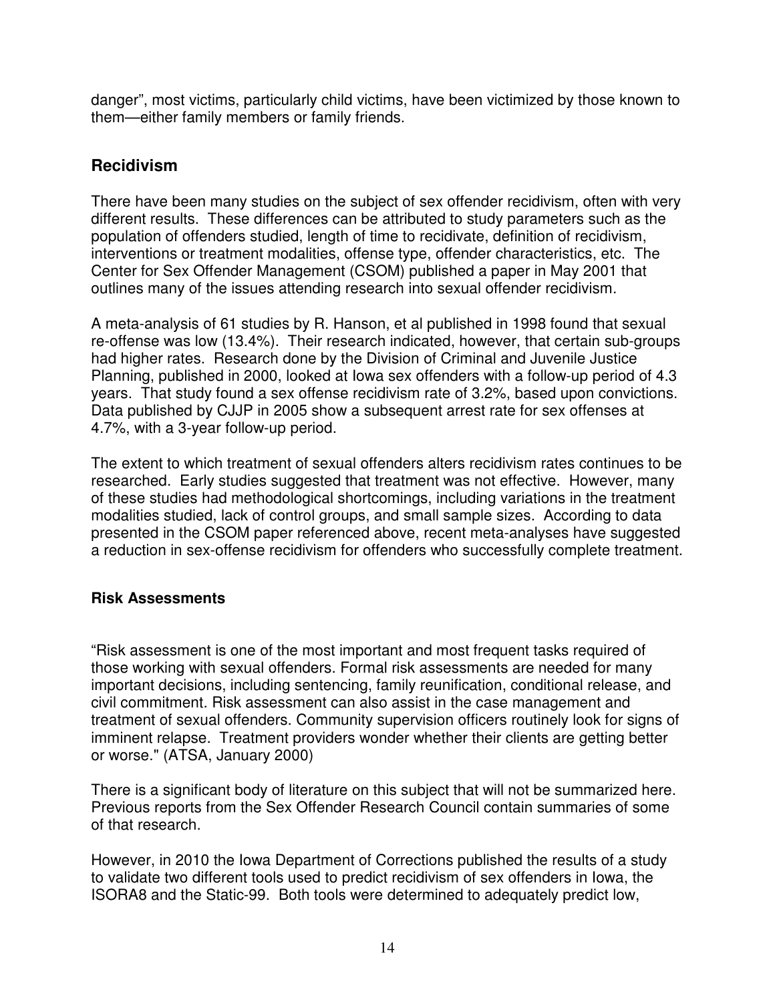danger", most victims, particularly child victims, have been victimized by those known to them—either family members or family friends.

### **Recidivism**

There have been many studies on the subject of sex offender recidivism, often with very different results. These differences can be attributed to study parameters such as the population of offenders studied, length of time to recidivate, definition of recidivism, interventions or treatment modalities, offense type, offender characteristics, etc. The Center for Sex Offender Management (CSOM) published a paper in May 2001 that outlines many of the issues attending research into sexual offender recidivism.

A meta-analysis of 61 studies by R. Hanson, et al published in 1998 found that sexual re-offense was low (13.4%). Their research indicated, however, that certain sub-groups had higher rates. Research done by the Division of Criminal and Juvenile Justice Planning, published in 2000, looked at Iowa sex offenders with a follow-up period of 4.3 years. That study found a sex offense recidivism rate of 3.2%, based upon convictions. Data published by CJJP in 2005 show a subsequent arrest rate for sex offenses at 4.7%, with a 3-year follow-up period.

The extent to which treatment of sexual offenders alters recidivism rates continues to be researched. Early studies suggested that treatment was not effective. However, many of these studies had methodological shortcomings, including variations in the treatment modalities studied, lack of control groups, and small sample sizes. According to data presented in the CSOM paper referenced above, recent meta-analyses have suggested a reduction in sex-offense recidivism for offenders who successfully complete treatment.

### **Risk Assessments**

"Risk assessment is one of the most important and most frequent tasks required of those working with sexual offenders. Formal risk assessments are needed for many important decisions, including sentencing, family reunification, conditional release, and civil commitment. Risk assessment can also assist in the case management and treatment of sexual offenders. Community supervision officers routinely look for signs of imminent relapse. Treatment providers wonder whether their clients are getting better or worse." (ATSA, January 2000)

There is a significant body of literature on this subject that will not be summarized here. Previous reports from the Sex Offender Research Council contain summaries of some of that research.

However, in 2010 the Iowa Department of Corrections published the results of a study to validate two different tools used to predict recidivism of sex offenders in Iowa, the ISORA8 and the Static-99. Both tools were determined to adequately predict low,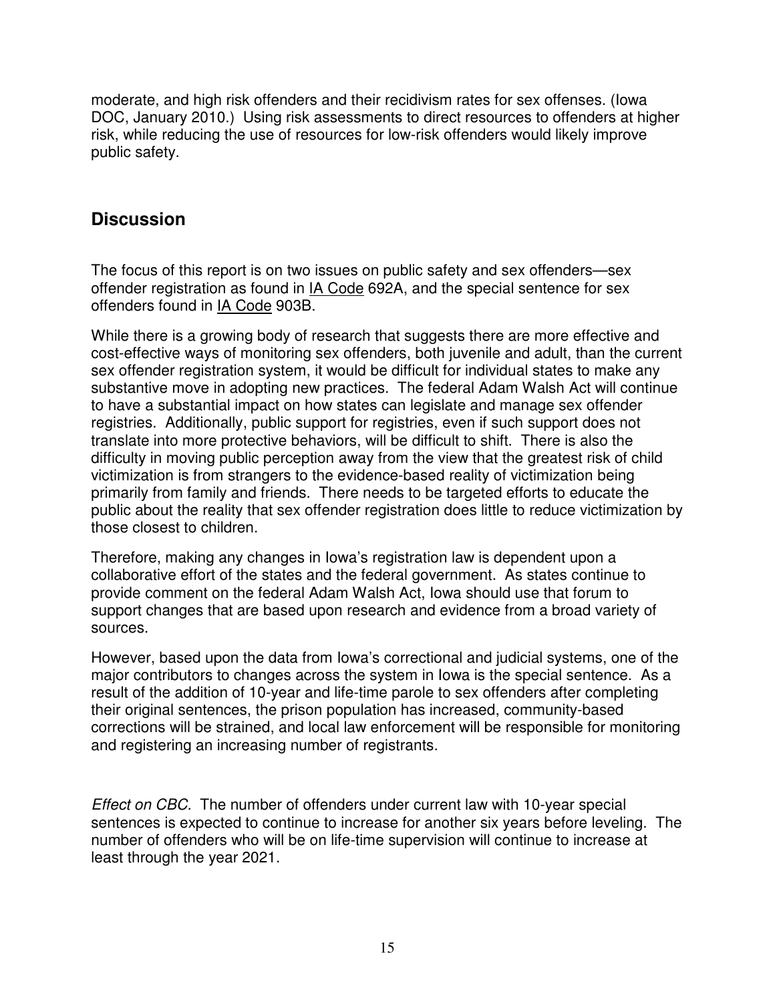moderate, and high risk offenders and their recidivism rates for sex offenses. (Iowa DOC, January 2010.) Using risk assessments to direct resources to offenders at higher risk, while reducing the use of resources for low-risk offenders would likely improve public safety.

# **Discussion**

The focus of this report is on two issues on public safety and sex offenders—sex offender registration as found in IA Code 692A, and the special sentence for sex offenders found in IA Code 903B.

While there is a growing body of research that suggests there are more effective and cost-effective ways of monitoring sex offenders, both juvenile and adult, than the current sex offender registration system, it would be difficult for individual states to make any substantive move in adopting new practices. The federal Adam Walsh Act will continue to have a substantial impact on how states can legislate and manage sex offender registries. Additionally, public support for registries, even if such support does not translate into more protective behaviors, will be difficult to shift. There is also the difficulty in moving public perception away from the view that the greatest risk of child victimization is from strangers to the evidence-based reality of victimization being primarily from family and friends. There needs to be targeted efforts to educate the public about the reality that sex offender registration does little to reduce victimization by those closest to children.

Therefore, making any changes in Iowa's registration law is dependent upon a collaborative effort of the states and the federal government. As states continue to provide comment on the federal Adam Walsh Act, Iowa should use that forum to support changes that are based upon research and evidence from a broad variety of sources.

However, based upon the data from Iowa's correctional and judicial systems, one of the major contributors to changes across the system in Iowa is the special sentence. As a result of the addition of 10-year and life-time parole to sex offenders after completing their original sentences, the prison population has increased, community-based corrections will be strained, and local law enforcement will be responsible for monitoring and registering an increasing number of registrants.

Effect on CBC. The number of offenders under current law with 10-year special sentences is expected to continue to increase for another six years before leveling. The number of offenders who will be on life-time supervision will continue to increase at least through the year 2021.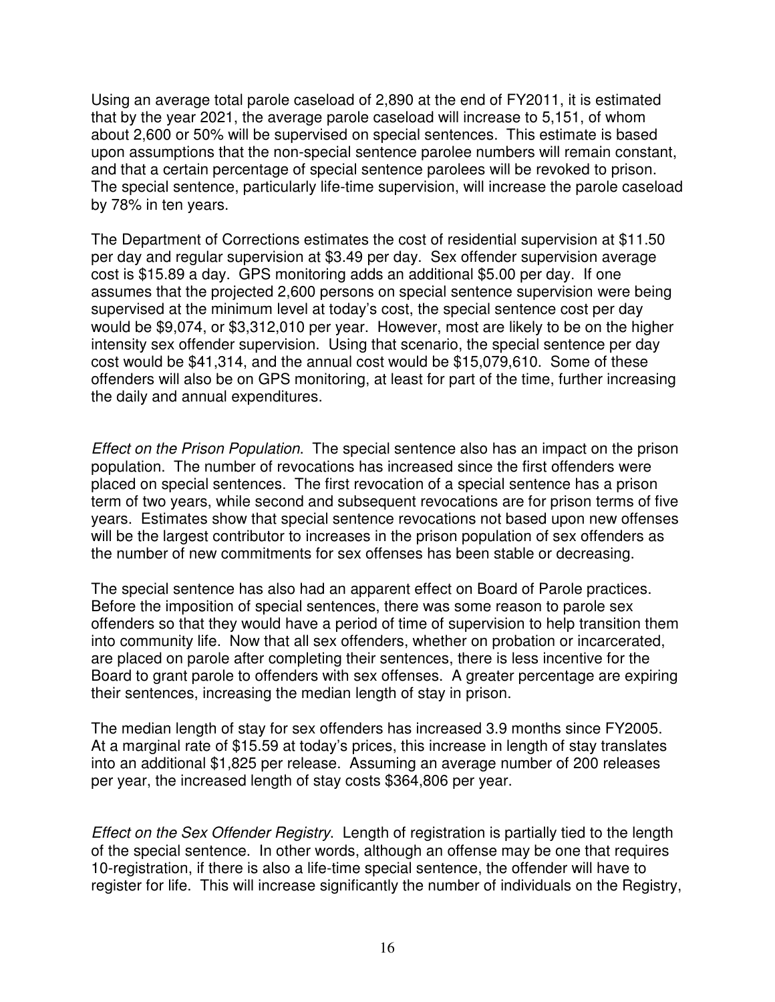Using an average total parole caseload of 2,890 at the end of FY2011, it is estimated that by the year 2021, the average parole caseload will increase to 5,151, of whom about 2,600 or 50% will be supervised on special sentences. This estimate is based upon assumptions that the non-special sentence parolee numbers will remain constant, and that a certain percentage of special sentence parolees will be revoked to prison. The special sentence, particularly life-time supervision, will increase the parole caseload by 78% in ten years.

The Department of Corrections estimates the cost of residential supervision at \$11.50 per day and regular supervision at \$3.49 per day. Sex offender supervision average cost is \$15.89 a day. GPS monitoring adds an additional \$5.00 per day. If one assumes that the projected 2,600 persons on special sentence supervision were being supervised at the minimum level at today's cost, the special sentence cost per day would be \$9,074, or \$3,312,010 per year. However, most are likely to be on the higher intensity sex offender supervision. Using that scenario, the special sentence per day cost would be \$41,314, and the annual cost would be \$15,079,610. Some of these offenders will also be on GPS monitoring, at least for part of the time, further increasing the daily and annual expenditures.

Effect on the Prison Population. The special sentence also has an impact on the prison population. The number of revocations has increased since the first offenders were placed on special sentences. The first revocation of a special sentence has a prison term of two years, while second and subsequent revocations are for prison terms of five years. Estimates show that special sentence revocations not based upon new offenses will be the largest contributor to increases in the prison population of sex offenders as the number of new commitments for sex offenses has been stable or decreasing.

The special sentence has also had an apparent effect on Board of Parole practices. Before the imposition of special sentences, there was some reason to parole sex offenders so that they would have a period of time of supervision to help transition them into community life. Now that all sex offenders, whether on probation or incarcerated, are placed on parole after completing their sentences, there is less incentive for the Board to grant parole to offenders with sex offenses. A greater percentage are expiring their sentences, increasing the median length of stay in prison.

The median length of stay for sex offenders has increased 3.9 months since FY2005. At a marginal rate of \$15.59 at today's prices, this increase in length of stay translates into an additional \$1,825 per release. Assuming an average number of 200 releases per year, the increased length of stay costs \$364,806 per year.

Effect on the Sex Offender Registry. Length of registration is partially tied to the length of the special sentence. In other words, although an offense may be one that requires 10-registration, if there is also a life-time special sentence, the offender will have to register for life. This will increase significantly the number of individuals on the Registry,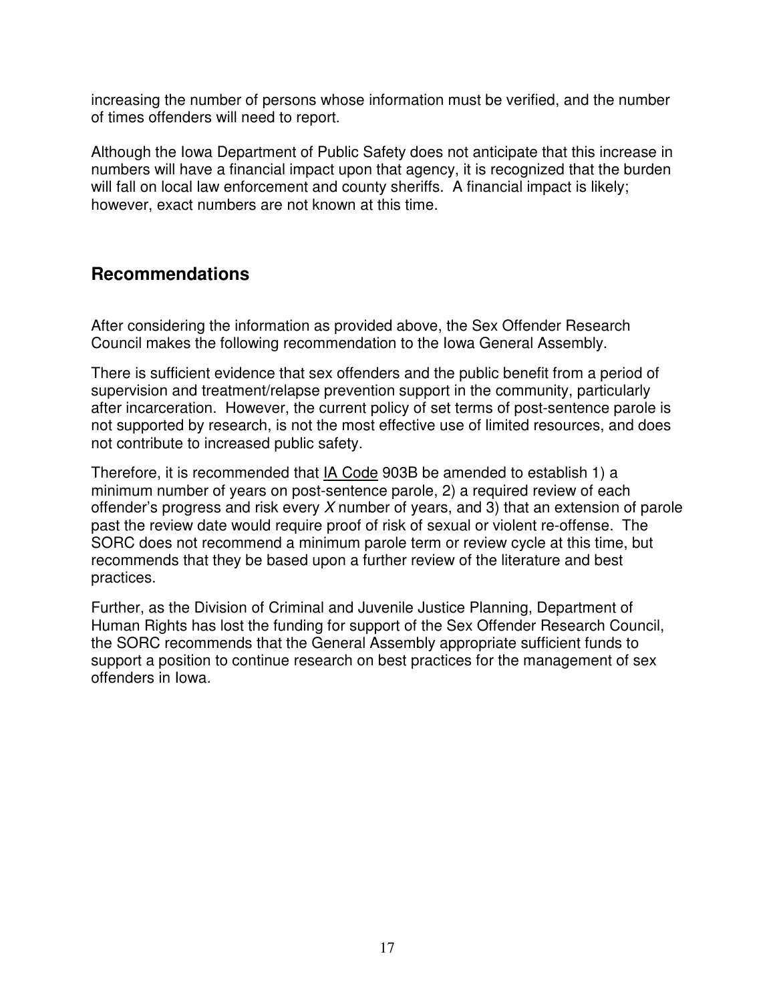increasing the number of persons whose information must be verified, and the number of times offenders will need to report.

Although the Iowa Department of Public Safety does not anticipate that this increase in numbers will have a financial impact upon that agency, it is recognized that the burden will fall on local law enforcement and county sheriffs. A financial impact is likely; however, exact numbers are not known at this time.

### **Recommendations**

After considering the information as provided above, the Sex Offender Research Council makes the following recommendation to the Iowa General Assembly.

There is sufficient evidence that sex offenders and the public benefit from a period of supervision and treatment/relapse prevention support in the community, particularly after incarceration. However, the current policy of set terms of post-sentence parole is not supported by research, is not the most effective use of limited resources, and does not contribute to increased public safety.

Therefore, it is recommended that IA Code 903B be amended to establish 1) a minimum number of years on post-sentence parole, 2) a required review of each offender's progress and risk every X number of years, and 3) that an extension of parole past the review date would require proof of risk of sexual or violent re-offense. The SORC does not recommend a minimum parole term or review cycle at this time, but recommends that they be based upon a further review of the literature and best practices.

Further, as the Division of Criminal and Juvenile Justice Planning, Department of Human Rights has lost the funding for support of the Sex Offender Research Council, the SORC recommends that the General Assembly appropriate sufficient funds to support a position to continue research on best practices for the management of sex offenders in Iowa.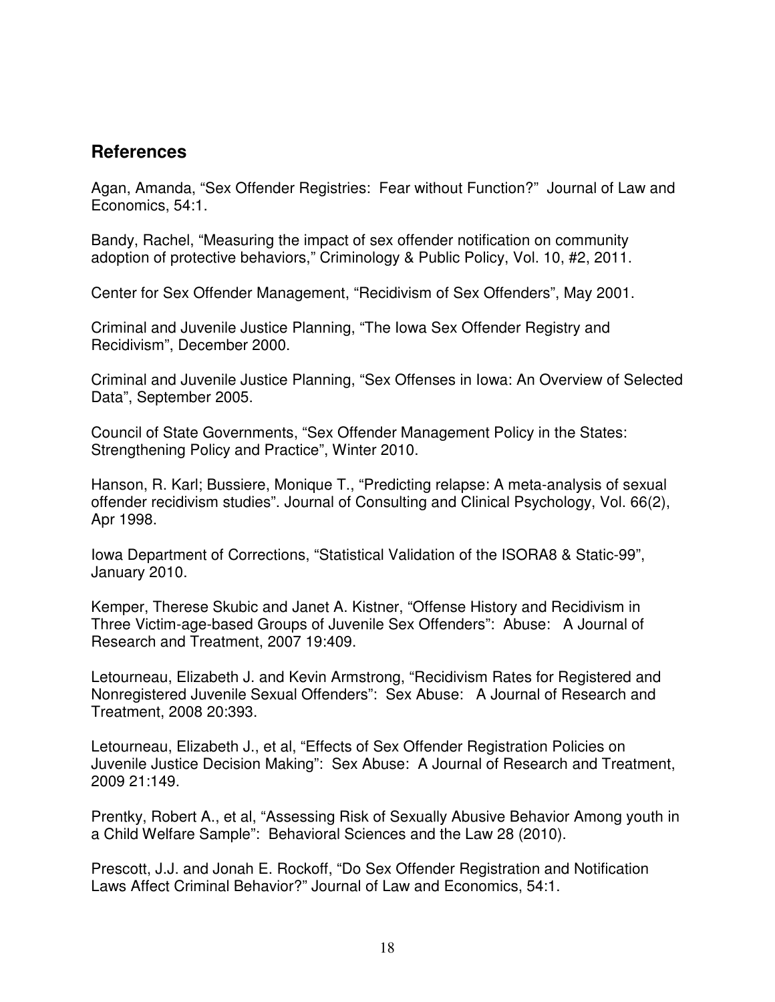### **References**

Agan, Amanda, "Sex Offender Registries: Fear without Function?" Journal of Law and Economics, 54:1.

Bandy, Rachel, "Measuring the impact of sex offender notification on community adoption of protective behaviors," Criminology & Public Policy, Vol. 10, #2, 2011.

Center for Sex Offender Management, "Recidivism of Sex Offenders", May 2001.

Criminal and Juvenile Justice Planning, "The Iowa Sex Offender Registry and Recidivism", December 2000.

Criminal and Juvenile Justice Planning, "Sex Offenses in Iowa: An Overview of Selected Data", September 2005.

Council of State Governments, "Sex Offender Management Policy in the States: Strengthening Policy and Practice", Winter 2010.

Hanson, R. Karl; Bussiere, Monique T., "Predicting relapse: A meta-analysis of sexual offender recidivism studies". Journal of Consulting and Clinical Psychology, Vol. 66(2), Apr 1998.

Iowa Department of Corrections, "Statistical Validation of the ISORA8 & Static-99", January 2010.

Kemper, Therese Skubic and Janet A. Kistner, "Offense History and Recidivism in Three Victim-age-based Groups of Juvenile Sex Offenders": Abuse: A Journal of Research and Treatment, 2007 19:409.

Letourneau, Elizabeth J. and Kevin Armstrong, "Recidivism Rates for Registered and Nonregistered Juvenile Sexual Offenders": Sex Abuse: A Journal of Research and Treatment, 2008 20:393.

Letourneau, Elizabeth J., et al, "Effects of Sex Offender Registration Policies on Juvenile Justice Decision Making": Sex Abuse: A Journal of Research and Treatment, 2009 21:149.

Prentky, Robert A., et al, "Assessing Risk of Sexually Abusive Behavior Among youth in a Child Welfare Sample": Behavioral Sciences and the Law 28 (2010).

Prescott, J.J. and Jonah E. Rockoff, "Do Sex Offender Registration and Notification Laws Affect Criminal Behavior?" Journal of Law and Economics, 54:1.